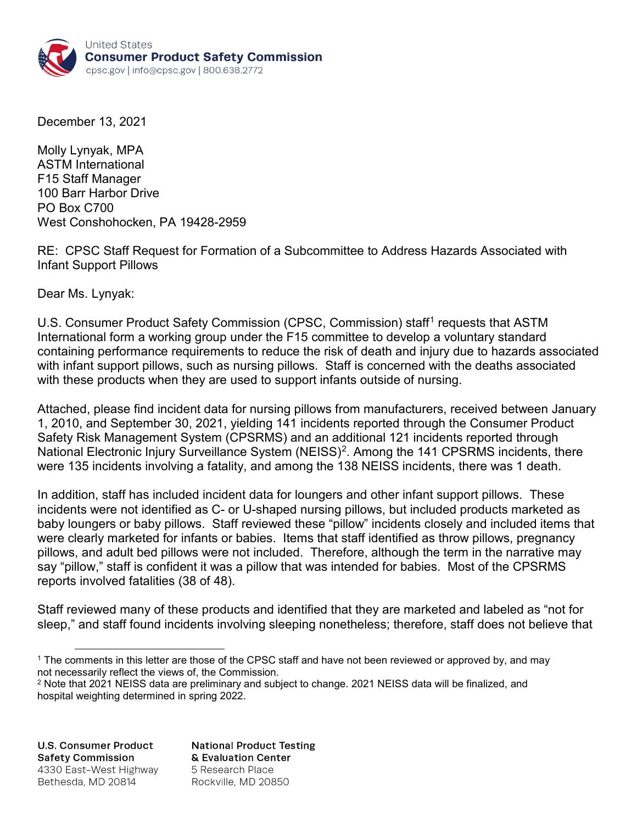

December 13, 2021

Molly Lynyak, MPA ASTM International F15 Staff Manager 100 Barr Harbor Drive PO Box C700 West Conshohocken, PA 19428-2959

RE: CPSC Staff Request for Formation of a Subcommittee to Address Hazards Associated with Infant Support Pillows

Dear Ms. Lynyak:

U.S. Consumer Product Safety Commission (CPSC, Commission) staff<sup>[1](#page-0-0)</sup> requests that ASTM International form a working group under the F15 committee to develop a voluntary standard containing performance requirements to reduce the risk of death and injury due to hazards associated with infant support pillows, such as nursing pillows. Staff is concerned with the deaths associated with these products when they are used to support infants outside of nursing.

Attached, please find incident data for nursing pillows from manufacturers, received between January 1, 2010, and September 30, 2021, yielding 141 incidents reported through the Consumer Product Safety Risk Management System (CPSRMS) and an additional 121 incidents reported through National Electronic Injury Surveillance System (NEISS)<sup>[2](#page-0-1)</sup>. Among the 141 CPSRMS incidents, there were 135 incidents involving a fatality, and among the 138 NEISS incidents, there was 1 death.

In addition, staff has included incident data for loungers and other infant support pillows. These incidents were not identified as C- or U-shaped nursing pillows, but included products marketed as baby loungers or baby pillows. Staff reviewed these "pillow" incidents closely and included items that were clearly marketed for infants or babies. Items that staff identified as throw pillows, pregnancy pillows, and adult bed pillows were not included. Therefore, although the term in the narrative may say "pillow," staff is confident it was a pillow that was intended for babies. Most of the CPSRMS reports involved fatalities (38 of 48).

Staff reviewed many of these products and identified that they are marketed and labeled as "not for sleep," and staff found incidents involving sleeping nonetheless; therefore, staff does not believe that

**U.S. Consumer Product Safety Commission** 4330 East-West Highway Bethesda, MD 20814

**National Product Testing** & Evaluation Center 5 Research Place Rockville, MD 20850

<span id="page-0-0"></span> <sup>1</sup> The comments in this letter are those of the CPSC staff and have not been reviewed or approved by, and may not necessarily reflect the views of, the Commission.

<span id="page-0-1"></span><sup>&</sup>lt;sup>2</sup> Note that 2021 NEISS data are preliminary and subject to change. 2021 NEISS data will be finalized, and hospital weighting determined in spring 2022.